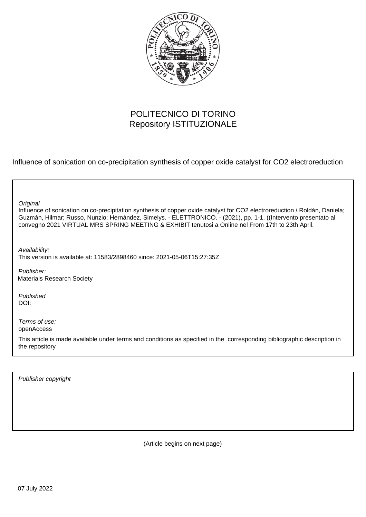

#### POLITECNICO DI TORINO Repository ISTITUZIONALE

Influence of sonication on co-precipitation synthesis of copper oxide catalyst for CO2 electroreduction

٦

| Original<br>Influence of sonication on co-precipitation synthesis of copper oxide catalyst for CO2 electroreduction / Roldán, Daniela;<br>Guzmán, Hilmar; Russo, Nunzio; Hernández, Simelys. - ELETTRONICO. - (2021), pp. 1-1. ((Intervento presentato al<br>convegno 2021 VIRTUAL MRS SPRING MEETING & EXHIBIT tenutosi a Online nel From 17th to 23th April. |
|----------------------------------------------------------------------------------------------------------------------------------------------------------------------------------------------------------------------------------------------------------------------------------------------------------------------------------------------------------------|
| Availability:<br>This version is available at: 11583/2898460 since: 2021-05-06T15:27:35Z                                                                                                                                                                                                                                                                       |
| Publisher:<br><b>Materials Research Society</b>                                                                                                                                                                                                                                                                                                                |
| Published<br>DOI:                                                                                                                                                                                                                                                                                                                                              |
| Terms of use:<br>openAccess                                                                                                                                                                                                                                                                                                                                    |
| This article is made available under terms and conditions as specified in the corresponding bibliographic description in<br>the repository                                                                                                                                                                                                                     |
|                                                                                                                                                                                                                                                                                                                                                                |

Publisher copyright

(Article begins on next page)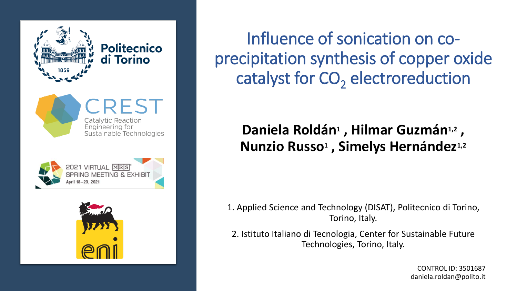











Influence of sonication on coprecipitation synthesis of copper oxide catalyst for CO<sub>2</sub> electroreduction

#### **Daniela Roldán<sup>1</sup>, Hilmar Guzmán<sup>1,2</sup>, Nunzio Russo<sup>1</sup> , Simelys Hernández1,2**

1. Applied Science and Technology (DISAT), Politecnico di Torino, Torino, Italy.

2. Istituto Italiano di Tecnologia, Center for Sustainable Future Technologies, Torino, Italy.

> CONTROL ID: 3501687 daniela.roldan@polito.it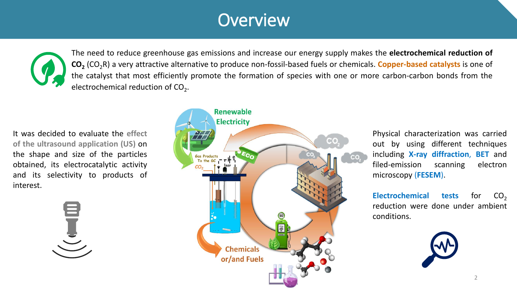# **Overview**



The need to reduce greenhouse gas emissions and increase our energy supply makes the **electrochemical reduction of CO<sup>2</sup>** (CO2R) a very attractive alternative to produce non-fossil-based fuels or chemicals. **Copper-based catalysts** is one of the catalyst that most efficiently promote the formation of species with one or more carbon-carbon bonds from the electrochemical reduction of CO<sub>2</sub>.

It was decided to evaluate the **effect of the ultrasound application (US)** on the shape and size of the particles obtained, its electrocatalytic activity and its selectivity to products of interest.





Physical characterization was carried out by using different techniques including **X-ray diffraction**, **BET** and filed-emission scanning electron microscopy (**FESEM**).

**Electrochemical tests for CO<sub>2</sub>** reduction were done under ambient conditions.

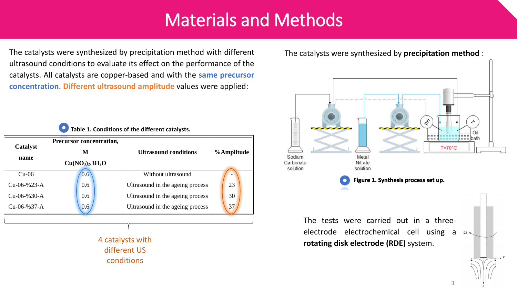# Materials and Methods

The catalysts were synthesized by precipitation method with different ultrasound conditions to evaluate its effect on the performance of the catalysts. All catalysts are copper-based and with the **same precursor concentration**. **Different ultrasound amplitude** values were applied:



4 catalysts with different US conditions

The catalysts were synthesized by **precipitation method** :

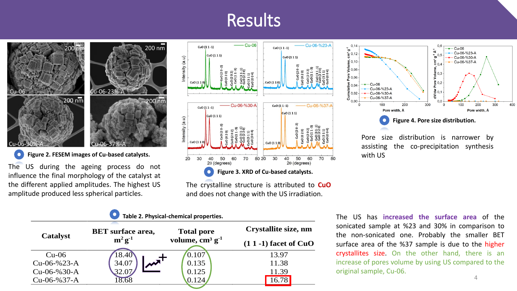# Results



 $\bullet$ 

The US during the ageing process do not influence the final morphology of the catalyst at the different applied amplitudes. The highest US amplitude produced less spherical particles.



The crystalline structure is attributed to **CuO** and does not change with the US irradiation.

| Table 2. Physical-chemical properties. |                                          |                                        |                          |  |
|----------------------------------------|------------------------------------------|----------------------------------------|--------------------------|--|
| <b>Catalyst</b>                        | <b>BET</b> surface area,<br>$m^2 g^{-1}$ | <b>Total pore</b><br>volume, $cm3 g-1$ | Crystallite size, nm     |  |
|                                        |                                          |                                        | $(1 1 - 1)$ facet of CuO |  |
| $Cu-06$                                | 18.40                                    | 0.107                                  | 13.97                    |  |
| $Cu$ -06-%23-A                         | 34.07                                    | 0.135                                  | 11.38                    |  |
| $Cu$ -06-%30-A                         | 32.07                                    | 0.125                                  | 11.39                    |  |
| $Cu$ -06-%37-A                         | 8.68                                     | 0.124                                  | 16.78                    |  |
|                                        |                                          |                                        |                          |  |



Pore size distribution is narrower by assisting the co-precipitation synthesis

The US has **increased the surface area** of the sonicated sample at %23 and 30% in comparison to the non-sonicated one. Probably the smaller BET surface area of the %37 sample is due to the higher crystallites size. On the other hand, there is an increase of pores volume by using US compared to the original sample, Cu-06. 4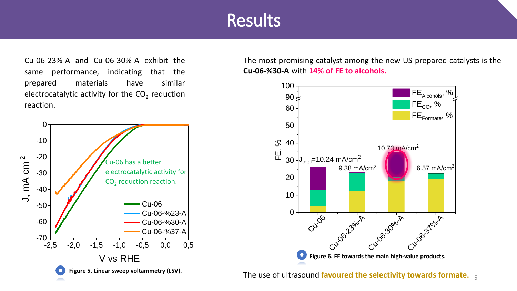#### **Results**

Cu-06-23%-A and Cu-06-30%-A exhibit the same performance, indicating that the prepared materials have similar electrocatalytic activity for the CO<sub>2</sub> reduction reaction.



The most promising catalyst among the new US-prepared catalysts is the **Cu-06-%30-A** with **14% of FE to alcohols.**



The use of ultrasound **favoured the selectivity towards formate.** 5